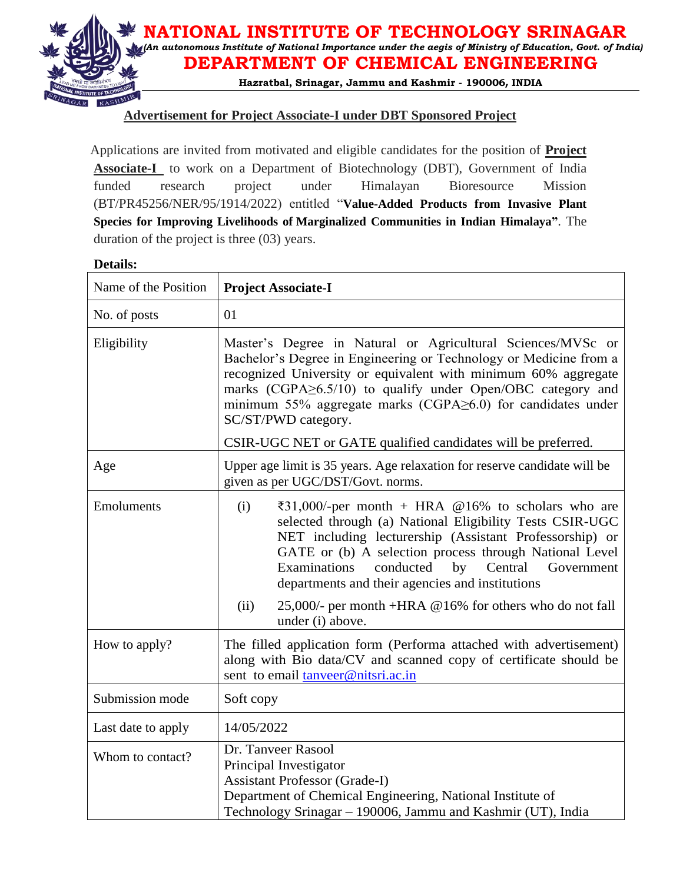

## **Advertisement for Project Associate-I under DBT Sponsored Project**

 Applications are invited from motivated and eligible candidates for the position of **Project Associate-I** to work on a Department of Biotechnology (DBT), Government of India funded research project under Himalayan Bioresource Mission (BT/PR45256/NER/95/1914/2022) entitled "**Value-Added Products from Invasive Plant Species for Improving Livelihoods of Marginalized Communities in Indian Himalaya"**. The duration of the project is three (03) years.

### **Details:**

| Name of the Position | <b>Project Associate-I</b>                                                                                                                                                                                                                                                                                                                                                     |  |  |  |
|----------------------|--------------------------------------------------------------------------------------------------------------------------------------------------------------------------------------------------------------------------------------------------------------------------------------------------------------------------------------------------------------------------------|--|--|--|
| No. of posts         | 01                                                                                                                                                                                                                                                                                                                                                                             |  |  |  |
| Eligibility          | Master's Degree in Natural or Agricultural Sciences/MVSc or<br>Bachelor's Degree in Engineering or Technology or Medicine from a<br>recognized University or equivalent with minimum 60% aggregate<br>marks (CGPA≥6.5/10) to qualify under Open/OBC category and<br>minimum 55% aggregate marks (CGPA $\geq$ 6.0) for candidates under<br>SC/ST/PWD category.                  |  |  |  |
|                      | CSIR-UGC NET or GATE qualified candidates will be preferred.                                                                                                                                                                                                                                                                                                                   |  |  |  |
| Age                  | Upper age limit is 35 years. Age relaxation for reserve candidate will be<br>given as per UGC/DST/Govt. norms.                                                                                                                                                                                                                                                                 |  |  |  |
| Emoluments           | $\text{\textsterling}31,000/-$ per month + HRA @16% to scholars who are<br>(i)<br>selected through (a) National Eligibility Tests CSIR-UGC<br>NET including lecturership (Assistant Professorship) or<br>GATE or (b) A selection process through National Level<br>Examinations<br>conducted<br>Central<br>by<br>Government<br>departments and their agencies and institutions |  |  |  |
|                      | 25,000/- per month +HRA @16% for others who do not fall<br>(ii)<br>under (i) above.                                                                                                                                                                                                                                                                                            |  |  |  |
| How to apply?        | The filled application form (Performa attached with advertisement)<br>along with Bio data/CV and scanned copy of certificate should be<br>sent to email tanveer@nitsri.ac.in                                                                                                                                                                                                   |  |  |  |
| Submission mode      | Soft copy                                                                                                                                                                                                                                                                                                                                                                      |  |  |  |
| Last date to apply   | 14/05/2022                                                                                                                                                                                                                                                                                                                                                                     |  |  |  |
| Whom to contact?     | Dr. Tanveer Rasool<br>Principal Investigator<br><b>Assistant Professor (Grade-I)</b><br>Department of Chemical Engineering, National Institute of<br>Technology Srinagar - 190006, Jammu and Kashmir (UT), India                                                                                                                                                               |  |  |  |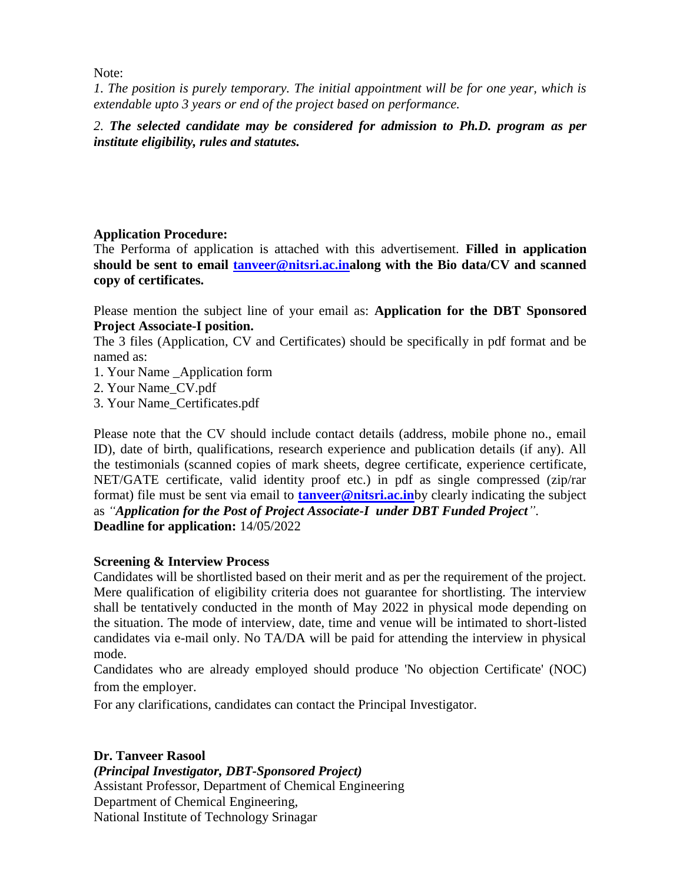Note:

*1. The position is purely temporary. The initial appointment will be for one year, which is extendable upto 3 years or end of the project based on performance.* 

*2. The selected candidate may be considered for admission to Ph.D. program as per institute eligibility, rules and statutes.*

## **Application Procedure:**

The Performa of application is attached with this advertisement. **Filled in application should be sent to email [tanveer@nitsri.ac.ina](mailto:tanveer@nitsri.ac.in)long with the Bio data/CV and scanned copy of certificates.**

Please mention the subject line of your email as: **Application for the DBT Sponsored Project Associate-I position.**

The 3 files (Application, CV and Certificates) should be specifically in pdf format and be named as:

- 1. Your Name \_Application form
- 2. Your Name\_CV.pdf
- 3. Your Name\_Certificates.pdf

Please note that the CV should include contact details (address, mobile phone no., email ID), date of birth, qualifications, research experience and publication details (if any). All the testimonials (scanned copies of mark sheets, degree certificate, experience certificate, NET/GATE certificate, valid identity proof etc.) in pdf as single compressed (zip/rar format) file must be sent via email to **[tanveer@nitsri.ac.in](mailto:tanveer@nitsri.ac.in)**by clearly indicating the subject as *"Application for the Post of Project Associate-I under DBT Funded Project"*. **Deadline for application:** 14/05/2022

## **Screening & Interview Process**

Candidates will be shortlisted based on their merit and as per the requirement of the project. Mere qualification of eligibility criteria does not guarantee for shortlisting. The interview shall be tentatively conducted in the month of May 2022 in physical mode depending on the situation. The mode of interview, date, time and venue will be intimated to short-listed candidates via e-mail only. No TA/DA will be paid for attending the interview in physical mode.

Candidates who are already employed should produce 'No objection Certificate' (NOC) from the employer.

For any clarifications, candidates can contact the Principal Investigator.

### **Dr. Tanveer Rasool**

*(Principal Investigator, DBT-Sponsored Project)* Assistant Professor, Department of Chemical Engineering Department of Chemical Engineering, National Institute of Technology Srinagar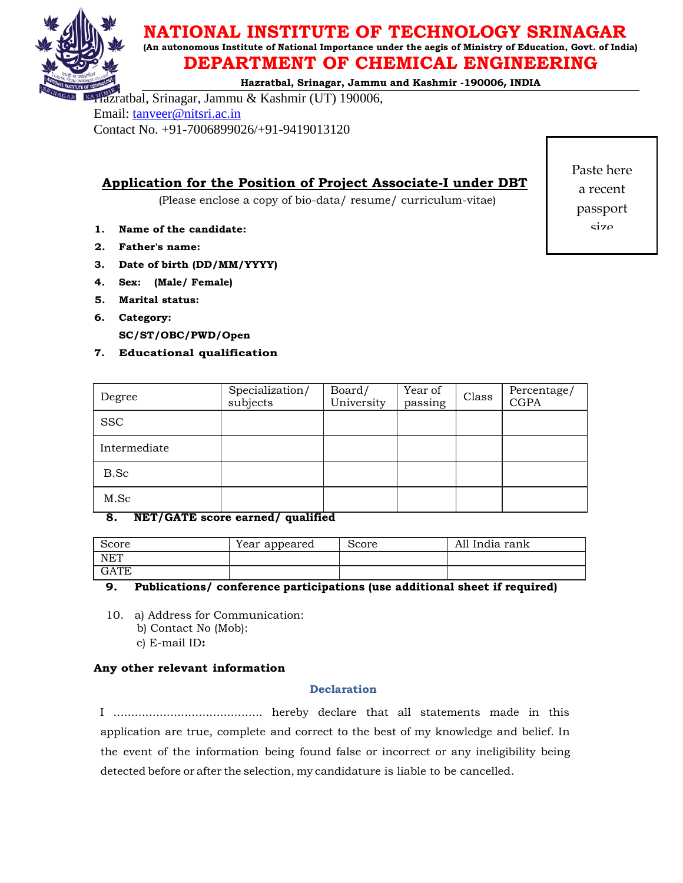

# **NATIONAL INSTITUTE OF TECHNOLOGY SRINAGAR**

**(An autonomous Institute of National Importance under the aegis of Ministry of Education, Govt. of India)**

# **DEPARTMENT OF CHEMICAL ENGINEERING**

**Hazratbal, Srinagar, Jammu and Kashmir -190006, INDIA**

Hazratbal, Srinagar, Jammu & Kashmir (UT) 190006, Email: [tanveer@nitsri.ac.in](mailto:tanveer@nitsri.ac.in) Contact No. +91-7006899026/+91-9419013120

**Application for the Position of Project Associate-I under DBT**

(Please enclose a copy of bio-data/ resume/ curriculum-vitae)

- **1. Name of the candidate:**
- **2. Father's name:**
- **3. Date of birth (DD/MM/YYYY)**
- **4. Sex: (Male/ Female)**
- **5. Marital status:**
- **6. Category:**

**SC/ST/OBC/PWD/Open** 

### **7. Educational qualification**

| Degree         | Specialization/<br>subjects | Board/<br>University | Year of<br>passing | Class | Percentage/<br><b>CGPA</b> |
|----------------|-----------------------------|----------------------|--------------------|-------|----------------------------|
| <b>SSC</b>     |                             |                      |                    |       |                            |
| Intermediate   |                             |                      |                    |       |                            |
| B.Sc           |                             |                      |                    |       |                            |
| M.Sc<br>$\sim$ | .<br>. .                    |                      |                    |       |                            |

### **8. NET/GATE score earned/ qualified**

| Score      | Year appeared | Score | All India rank |
|------------|---------------|-------|----------------|
| <b>NET</b> |               |       |                |
| GATE       |               |       |                |

**9. Publications/ conference participations (use additional sheet if required)**

10. a) Address for Communication:

- b) Contact No (Mob):
- c) E-mail ID**:**

### **Any other relevant information**

### **Declaration**

I .......................................... hereby declare that all statements made in this application are true, complete and correct to the best of my knowledge and belief. In the event of the information being found false or incorrect or any ineligibility being detected before or after the selection, my candidature is liable to be cancelled.

Paste here a recent passport size

photogra